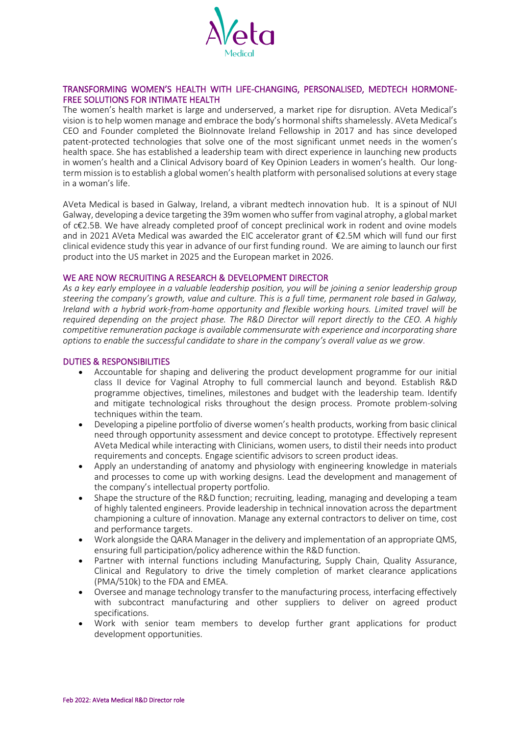

## TRANSFORMING WOMEN'S HEALTH WITH LIFE-CHANGING, PERSONALISED, MEDTECH HORMONE-FREE SOLUTIONS FOR INTIMATE HEALTH

The women's health market is large and underserved, a market ripe for disruption. AVeta Medical's vision is to help women manage and embrace the body's hormonal shifts shamelessly. AVeta Medical's CEO and Founder completed the BioInnovate Ireland Fellowship in 2017 and has since developed patent-protected technologies that solve one of the most significant unmet needs in the women's health space. She has established a leadership team with direct experience in launching new products in women's health and a Clinical Advisory board of Key Opinion Leaders in women's health. Our longterm mission is to establish a global women's health platform with personalised solutions at every stage in a woman's life.

AVeta Medical is based in Galway, Ireland, a vibrant medtech innovation hub. It is a spinout of NUI Galway, developing a device targeting the 39m women who suffer from vaginal atrophy, a global market of c€2.5B. We have already completed proof of concept preclinical work in rodent and ovine models and in 2021 AVeta Medical was awarded the EIC accelerator grant of €2.5M which will fund our first clinical evidence study this year in advance of our first funding round. We are aiming to launch our first product into the US market in 2025 and the European market in 2026.

#### WE ARE NOW RECRUITING A RESEARCH & DEVELOPMENT DIRECTOR

*As a key early employee in a valuable leadership position, you will be joining a senior leadership group steering the company's growth, value and culture. This is a full time, permanent role based in Galway, Ireland with a hybrid work-from-home opportunity and flexible working hours. Limited travel will be required depending on the project phase. The R&D Director will report directly to the CEO. A highly competitive remuneration package is available commensurate with experience and incorporating share options to enable the successful candidate to share in the company's overall value as we grow*.

#### DUTIES & RESPONSIBILITIES

- Accountable for shaping and delivering the product development programme for our initial class II device for Vaginal Atrophy to full commercial launch and beyond. Establish R&D programme objectives, timelines, milestones and budget with the leadership team. Identify and mitigate technological risks throughout the design process. Promote problem-solving techniques within the team.
- Developing a pipeline portfolio of diverse women's health products, working from basic clinical need through opportunity assessment and device concept to prototype. Effectively represent AVeta Medical while interacting with Clinicians, women users, to distil their needs into product requirements and concepts. Engage scientific advisors to screen product ideas.
- Apply an understanding of anatomy and physiology with engineering knowledge in materials and processes to come up with working designs. Lead the development and management of the company's intellectual property portfolio.
- Shape the structure of the R&D function; recruiting, leading, managing and developing a team of highly talented engineers. Provide leadership in technical innovation across the department championing a culture of innovation. Manage any external contractors to deliver on time, cost and performance targets.
- Work alongside the QARA Manager in the delivery and implementation of an appropriate QMS, ensuring full participation/policy adherence within the R&D function.
- Partner with internal functions including Manufacturing, Supply Chain, Quality Assurance, Clinical and Regulatory to drive the timely completion of market clearance applications (PMA/510k) to the FDA and EMEA.
- Oversee and manage technology transfer to the manufacturing process, interfacing effectively with subcontract manufacturing and other suppliers to deliver on agreed product specifications.
- Work with senior team members to develop further grant applications for product development opportunities.